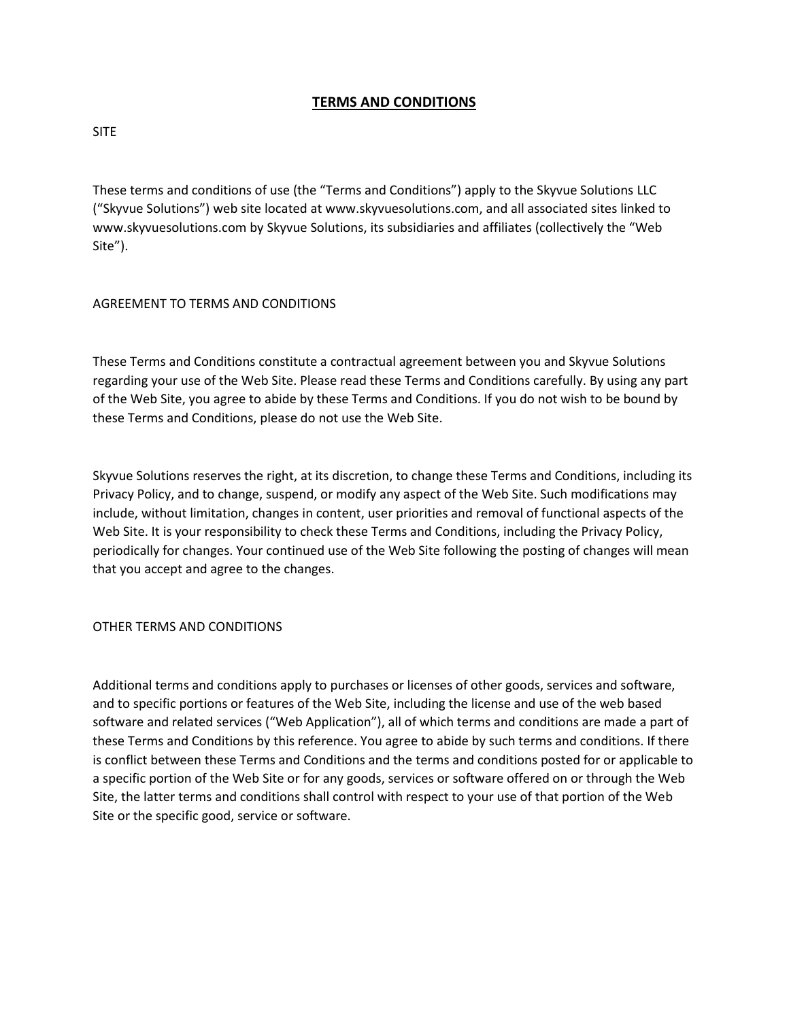# **TERMS AND CONDITIONS**

## **SITE**

These terms and conditions of use (the "Terms and Conditions") apply to the Skyvue Solutions LLC ("Skyvue Solutions") web site located at www.skyvuesolutions.com, and all associated sites linked to www.skyvuesolutions.com by Skyvue Solutions, its subsidiaries and affiliates (collectively the "Web Site").

# AGREEMENT TO TERMS AND CONDITIONS

These Terms and Conditions constitute a contractual agreement between you and Skyvue Solutions regarding your use of the Web Site. Please read these Terms and Conditions carefully. By using any part of the Web Site, you agree to abide by these Terms and Conditions. If you do not wish to be bound by these Terms and Conditions, please do not use the Web Site.

Skyvue Solutions reserves the right, at its discretion, to change these Terms and Conditions, including its Privacy Policy, and to change, suspend, or modify any aspect of the Web Site. Such modifications may include, without limitation, changes in content, user priorities and removal of functional aspects of the Web Site. It is your responsibility to check these Terms and Conditions, including the Privacy Policy, periodically for changes. Your continued use of the Web Site following the posting of changes will mean that you accept and agree to the changes.

## OTHER TERMS AND CONDITIONS

Additional terms and conditions apply to purchases or licenses of other goods, services and software, and to specific portions or features of the Web Site, including the license and use of the web based software and related services ("Web Application"), all of which terms and conditions are made a part of these Terms and Conditions by this reference. You agree to abide by such terms and conditions. If there is conflict between these Terms and Conditions and the terms and conditions posted for or applicable to a specific portion of the Web Site or for any goods, services or software offered on or through the Web Site, the latter terms and conditions shall control with respect to your use of that portion of the Web Site or the specific good, service or software.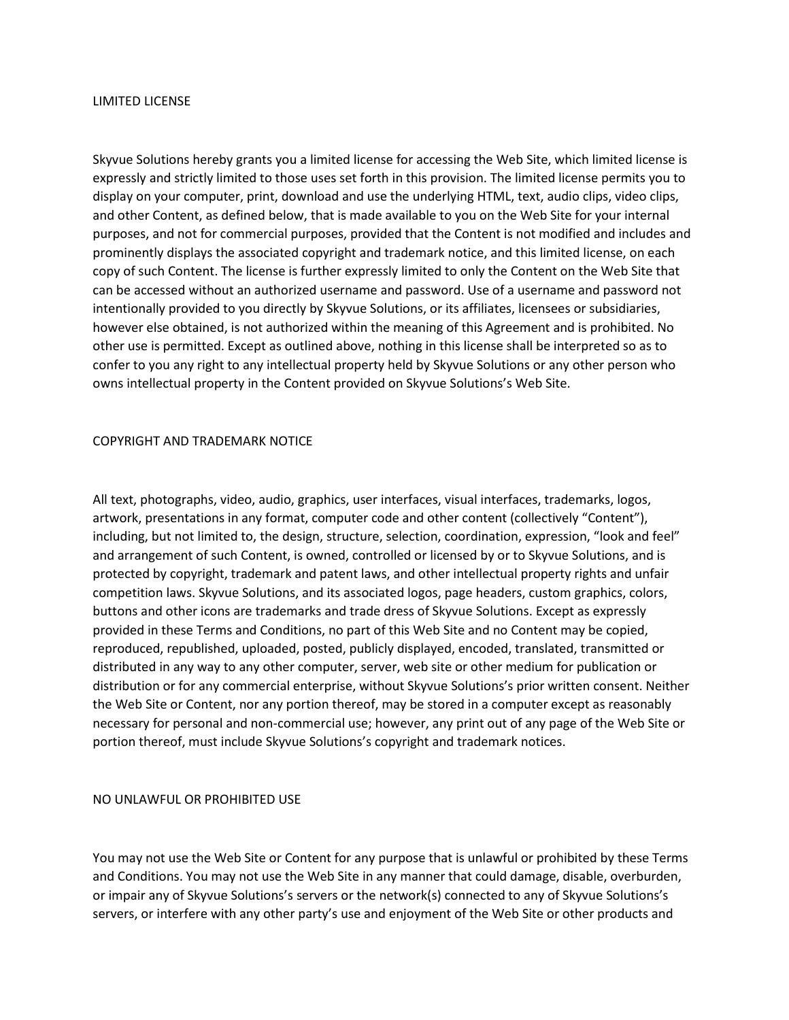#### LIMITED LICENSE

Skyvue Solutions hereby grants you a limited license for accessing the Web Site, which limited license is expressly and strictly limited to those uses set forth in this provision. The limited license permits you to display on your computer, print, download and use the underlying HTML, text, audio clips, video clips, and other Content, as defined below, that is made available to you on the Web Site for your internal purposes, and not for commercial purposes, provided that the Content is not modified and includes and prominently displays the associated copyright and trademark notice, and this limited license, on each copy of such Content. The license is further expressly limited to only the Content on the Web Site that can be accessed without an authorized username and password. Use of a username and password not intentionally provided to you directly by Skyvue Solutions, or its affiliates, licensees or subsidiaries, however else obtained, is not authorized within the meaning of this Agreement and is prohibited. No other use is permitted. Except as outlined above, nothing in this license shall be interpreted so as to confer to you any right to any intellectual property held by Skyvue Solutions or any other person who owns intellectual property in the Content provided on Skyvue Solutions's Web Site.

### COPYRIGHT AND TRADEMARK NOTICE

All text, photographs, video, audio, graphics, user interfaces, visual interfaces, trademarks, logos, artwork, presentations in any format, computer code and other content (collectively "Content"), including, but not limited to, the design, structure, selection, coordination, expression, "look and feel" and arrangement of such Content, is owned, controlled or licensed by or to Skyvue Solutions, and is protected by copyright, trademark and patent laws, and other intellectual property rights and unfair competition laws. Skyvue Solutions, and its associated logos, page headers, custom graphics, colors, buttons and other icons are trademarks and trade dress of Skyvue Solutions. Except as expressly provided in these Terms and Conditions, no part of this Web Site and no Content may be copied, reproduced, republished, uploaded, posted, publicly displayed, encoded, translated, transmitted or distributed in any way to any other computer, server, web site or other medium for publication or distribution or for any commercial enterprise, without Skyvue Solutions's prior written consent. Neither the Web Site or Content, nor any portion thereof, may be stored in a computer except as reasonably necessary for personal and non-commercial use; however, any print out of any page of the Web Site or portion thereof, must include Skyvue Solutions's copyright and trademark notices.

#### NO UNLAWFUL OR PROHIBITED USE

You may not use the Web Site or Content for any purpose that is unlawful or prohibited by these Terms and Conditions. You may not use the Web Site in any manner that could damage, disable, overburden, or impair any of Skyvue Solutions's servers or the network(s) connected to any of Skyvue Solutions's servers, or interfere with any other party's use and enjoyment of the Web Site or other products and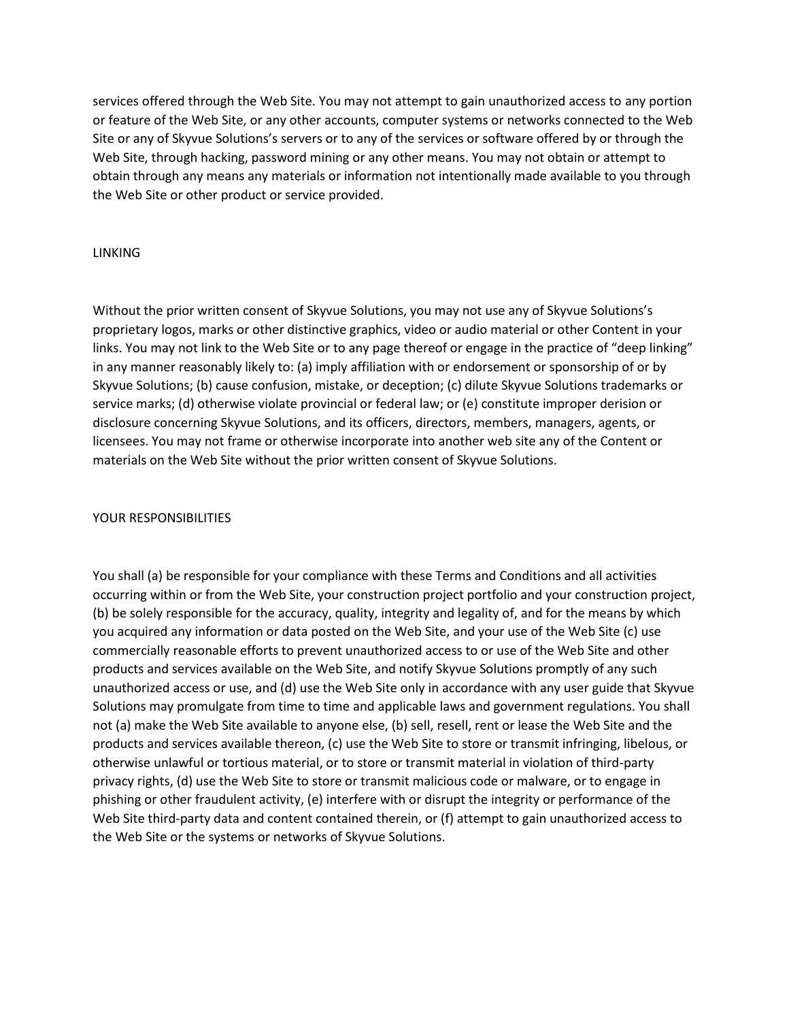services offered through the Web Site. You may not attempt to gain unauthorized access to any portion or feature of the Web Site, or any other accounts, computer systems or networks connected to the Web Site or any of Skyvue Solutions's servers or to any of the services or software offered by or through the Web Site, through hacking, password mining or any other means. You may not obtain or attempt to obtain through any means any materials or information not intentionally made available to you through the Web Site or other product or service provided.

#### **LINKING**

Without the prior written consent of Skyvue Solutions, you may not use any of Skyvue Solutions's proprietary logos, marks or other distinctive graphics, video or audio material or other Content in your links. You may not link to the Web Site or to any page thereof or engage in the practice of "deep linking" in any manner reasonably likely to: (a) imply affiliation with or endorsement or sponsorship of or by Skyvue Solutions; (b) cause confusion, mistake, or deception; (c) dilute Skyvue Solutions trademarks or service marks; (d) otherwise violate provincial or federal law; or (e) constitute improper derision or disclosure concerning Skyvue Solutions, and its officers, directors, members, managers, agents, or licensees. You may not frame or otherwise incorporate into another web site any of the Content or materials on the Web Site without the prior written consent of Skyvue Solutions.

## YOUR RESPONSIBILITIES

You shall (a) be responsible for your compliance with these Terms and Conditions and all activities occurring within or from the Web Site, your construction project portfolio and your construction project, (b) be solely responsible for the accuracy, quality, integrity and legality of, and for the means by which you acquired any information or data posted on the Web Site, and your use of the Web Site (c) use commercially reasonable efforts to prevent unauthorized access to or use of the Web Site and other products and services available on the Web Site, and notify Skyvue Solutions promptly of any such unauthorized access or use, and (d) use the Web Site only in accordance with any user guide that Skyvue Solutions may promulgate from time to time and applicable laws and government regulations. You shall not (a) make the Web Site available to anyone else, (b) sell, resell, rent or lease the Web Site and the products and services available thereon, (c) use the Web Site to store or transmit infringing, libelous, or otherwise unlawful or tortious material, or to store or transmit material in violation of third-party privacy rights, (d) use the Web Site to store or transmit malicious code or malware, or to engage in phishing or other fraudulent activity, (e) interfere with or disrupt the integrity or performance of the Web Site third-party data and content contained therein, or (f) attempt to gain unauthorized access to the Web Site or the systems or networks of Skyvue Solutions.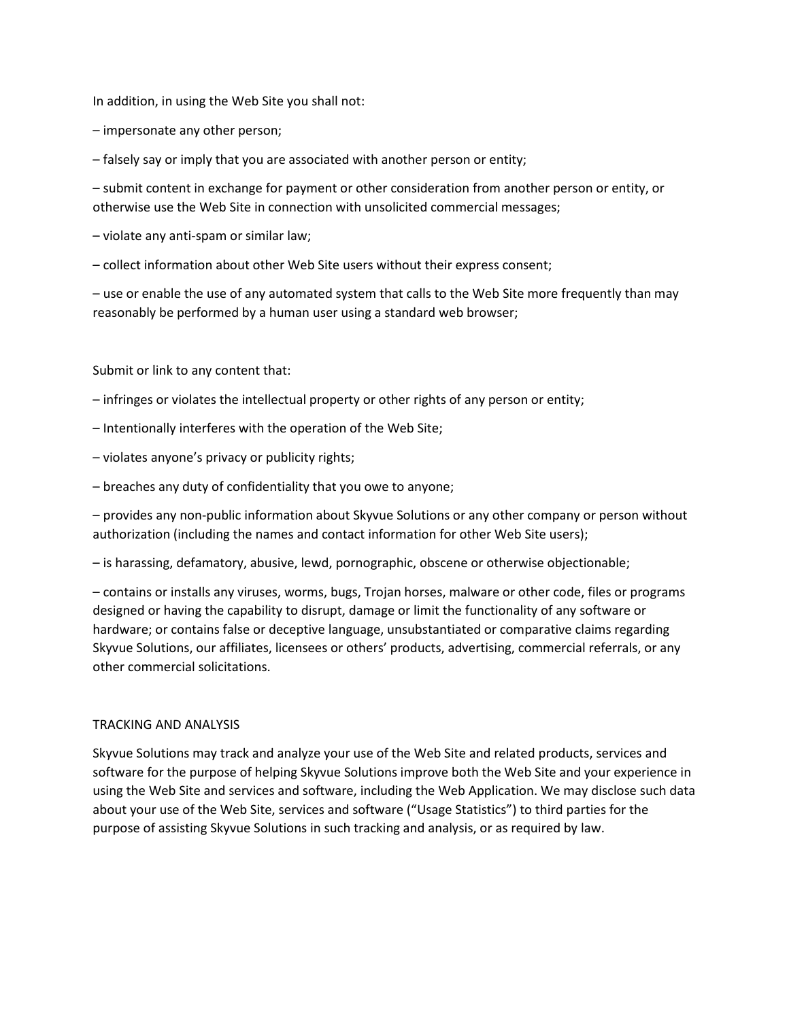In addition, in using the Web Site you shall not:

– impersonate any other person;

– falsely say or imply that you are associated with another person or entity;

– submit content in exchange for payment or other consideration from another person or entity, or otherwise use the Web Site in connection with unsolicited commercial messages;

– violate any anti-spam or similar law;

– collect information about other Web Site users without their express consent;

– use or enable the use of any automated system that calls to the Web Site more frequently than may reasonably be performed by a human user using a standard web browser;

Submit or link to any content that:

- infringes or violates the intellectual property or other rights of any person or entity;
- Intentionally interferes with the operation of the Web Site;
- violates anyone's privacy or publicity rights;
- breaches any duty of confidentiality that you owe to anyone;

– provides any non-public information about Skyvue Solutions or any other company or person without authorization (including the names and contact information for other Web Site users);

– is harassing, defamatory, abusive, lewd, pornographic, obscene or otherwise objectionable;

– contains or installs any viruses, worms, bugs, Trojan horses, malware or other code, files or programs designed or having the capability to disrupt, damage or limit the functionality of any software or hardware; or contains false or deceptive language, unsubstantiated or comparative claims regarding Skyvue Solutions, our affiliates, licensees or others' products, advertising, commercial referrals, or any other commercial solicitations.

#### TRACKING AND ANALYSIS

Skyvue Solutions may track and analyze your use of the Web Site and related products, services and software for the purpose of helping Skyvue Solutions improve both the Web Site and your experience in using the Web Site and services and software, including the Web Application. We may disclose such data about your use of the Web Site, services and software ("Usage Statistics") to third parties for the purpose of assisting Skyvue Solutions in such tracking and analysis, or as required by law.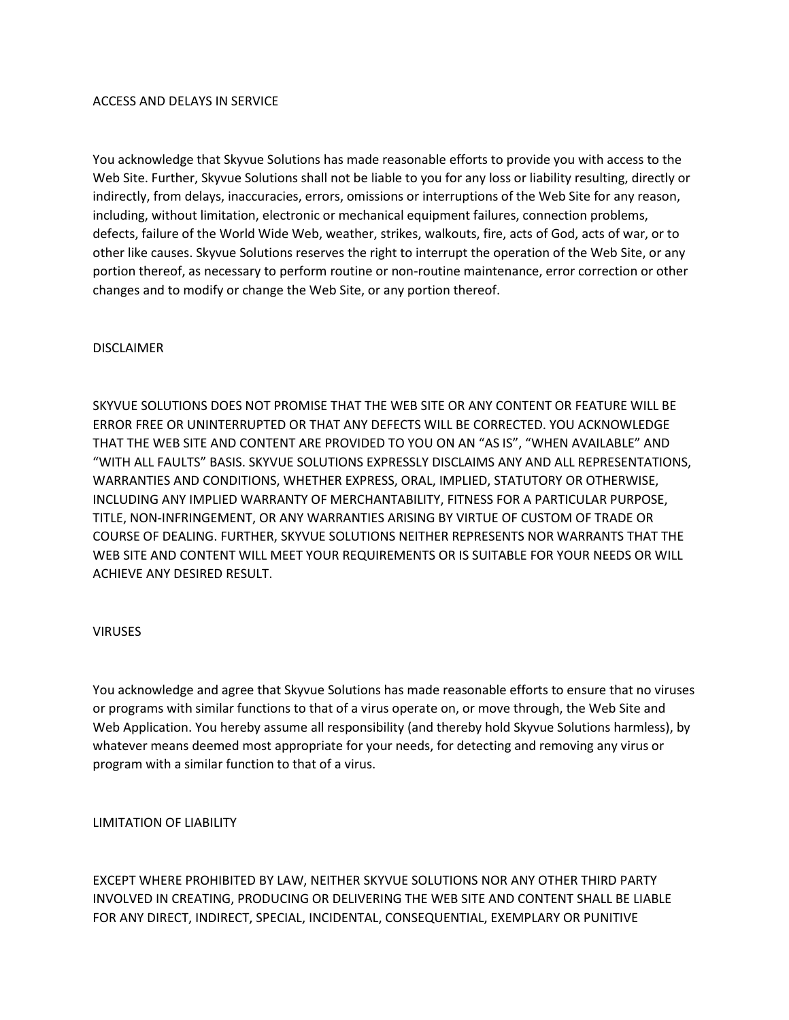#### ACCESS AND DELAYS IN SERVICE

You acknowledge that Skyvue Solutions has made reasonable efforts to provide you with access to the Web Site. Further, Skyvue Solutions shall not be liable to you for any loss or liability resulting, directly or indirectly, from delays, inaccuracies, errors, omissions or interruptions of the Web Site for any reason, including, without limitation, electronic or mechanical equipment failures, connection problems, defects, failure of the World Wide Web, weather, strikes, walkouts, fire, acts of God, acts of war, or to other like causes. Skyvue Solutions reserves the right to interrupt the operation of the Web Site, or any portion thereof, as necessary to perform routine or non-routine maintenance, error correction or other changes and to modify or change the Web Site, or any portion thereof.

### DISCLAIMER

SKYVUE SOLUTIONS DOES NOT PROMISE THAT THE WEB SITE OR ANY CONTENT OR FEATURE WILL BE ERROR FREE OR UNINTERRUPTED OR THAT ANY DEFECTS WILL BE CORRECTED. YOU ACKNOWLEDGE THAT THE WEB SITE AND CONTENT ARE PROVIDED TO YOU ON AN "AS IS", "WHEN AVAILABLE" AND "WITH ALL FAULTS" BASIS. SKYVUE SOLUTIONS EXPRESSLY DISCLAIMS ANY AND ALL REPRESENTATIONS, WARRANTIES AND CONDITIONS, WHETHER EXPRESS, ORAL, IMPLIED, STATUTORY OR OTHERWISE, INCLUDING ANY IMPLIED WARRANTY OF MERCHANTABILITY, FITNESS FOR A PARTICULAR PURPOSE, TITLE, NON-INFRINGEMENT, OR ANY WARRANTIES ARISING BY VIRTUE OF CUSTOM OF TRADE OR COURSE OF DEALING. FURTHER, SKYVUE SOLUTIONS NEITHER REPRESENTS NOR WARRANTS THAT THE WEB SITE AND CONTENT WILL MEET YOUR REQUIREMENTS OR IS SUITABLE FOR YOUR NEEDS OR WILL ACHIEVE ANY DESIRED RESULT.

#### VIRUSES

You acknowledge and agree that Skyvue Solutions has made reasonable efforts to ensure that no viruses or programs with similar functions to that of a virus operate on, or move through, the Web Site and Web Application. You hereby assume all responsibility (and thereby hold Skyvue Solutions harmless), by whatever means deemed most appropriate for your needs, for detecting and removing any virus or program with a similar function to that of a virus.

## LIMITATION OF LIABILITY

EXCEPT WHERE PROHIBITED BY LAW, NEITHER SKYVUE SOLUTIONS NOR ANY OTHER THIRD PARTY INVOLVED IN CREATING, PRODUCING OR DELIVERING THE WEB SITE AND CONTENT SHALL BE LIABLE FOR ANY DIRECT, INDIRECT, SPECIAL, INCIDENTAL, CONSEQUENTIAL, EXEMPLARY OR PUNITIVE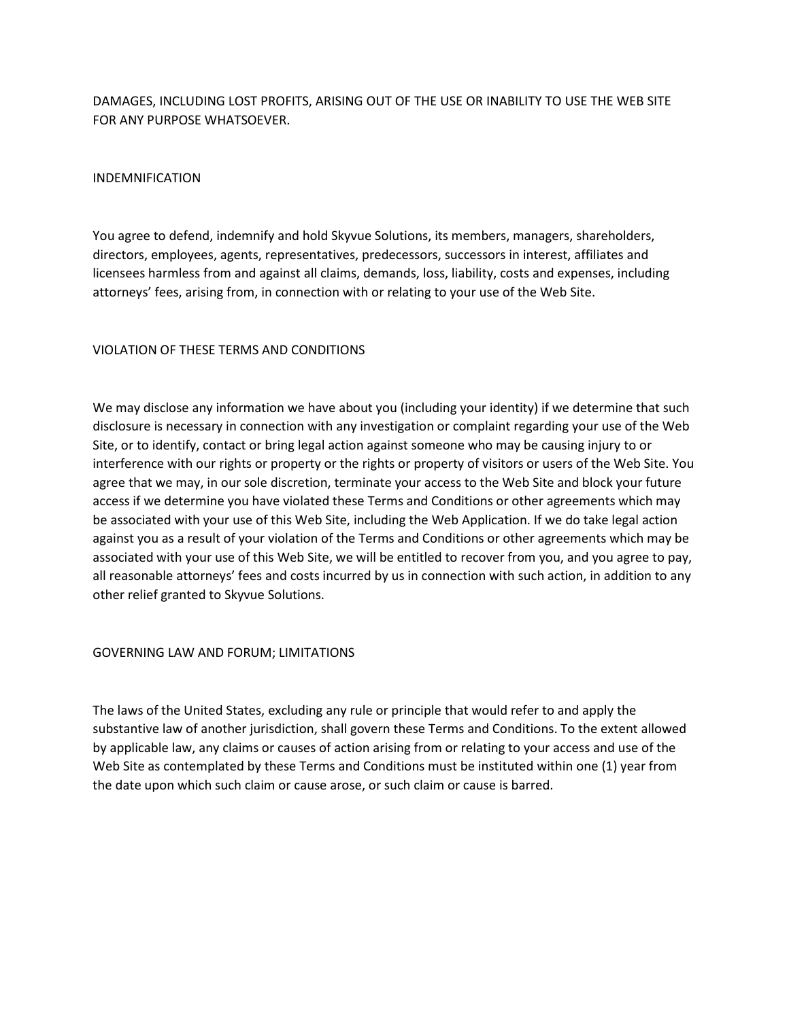DAMAGES, INCLUDING LOST PROFITS, ARISING OUT OF THE USE OR INABILITY TO USE THE WEB SITE FOR ANY PURPOSE WHATSOEVER.

### INDEMNIFICATION

You agree to defend, indemnify and hold Skyvue Solutions, its members, managers, shareholders, directors, employees, agents, representatives, predecessors, successors in interest, affiliates and licensees harmless from and against all claims, demands, loss, liability, costs and expenses, including attorneys' fees, arising from, in connection with or relating to your use of the Web Site.

## VIOLATION OF THESE TERMS AND CONDITIONS

We may disclose any information we have about you (including your identity) if we determine that such disclosure is necessary in connection with any investigation or complaint regarding your use of the Web Site, or to identify, contact or bring legal action against someone who may be causing injury to or interference with our rights or property or the rights or property of visitors or users of the Web Site. You agree that we may, in our sole discretion, terminate your access to the Web Site and block your future access if we determine you have violated these Terms and Conditions or other agreements which may be associated with your use of this Web Site, including the Web Application. If we do take legal action against you as a result of your violation of the Terms and Conditions or other agreements which may be associated with your use of this Web Site, we will be entitled to recover from you, and you agree to pay, all reasonable attorneys' fees and costs incurred by us in connection with such action, in addition to any other relief granted to Skyvue Solutions.

## GOVERNING LAW AND FORUM; LIMITATIONS

The laws of the United States, excluding any rule or principle that would refer to and apply the substantive law of another jurisdiction, shall govern these Terms and Conditions. To the extent allowed by applicable law, any claims or causes of action arising from or relating to your access and use of the Web Site as contemplated by these Terms and Conditions must be instituted within one (1) year from the date upon which such claim or cause arose, or such claim or cause is barred.